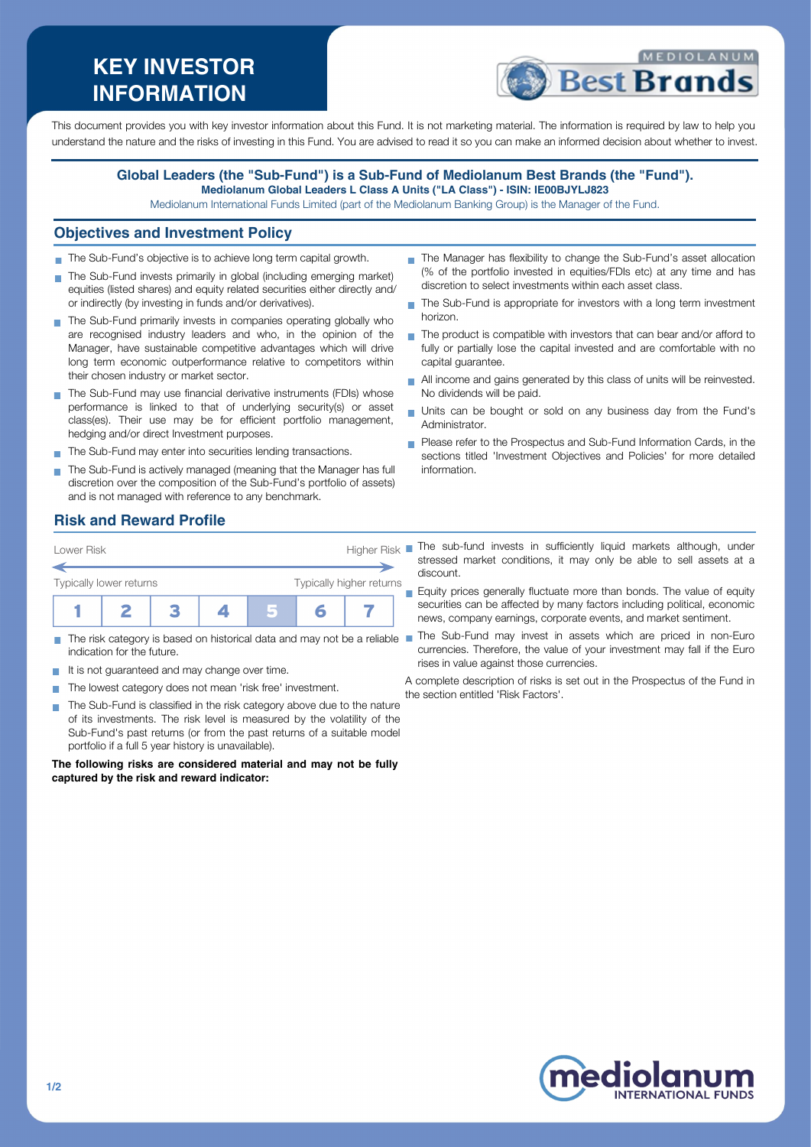# **KEY INVESTOR INFORMATION**



This document provides you with key investor information about this Fund. It is not marketing material. The information is required by law to help you understand the nature and the risks of investing in this Fund. You are advised to read it so you can make an informed decision about whether to invest.

#### **Global Leaders (the "Sub-Fund") is a Sub-Fund of Mediolanum Best Brands (the "Fund"). Mediolanum Global Leaders L Class A Units ("LA Class") - ISIN: IE00BJYLJ823**

Mediolanum International Funds Limited (part of the Mediolanum Banking Group) is the Manager of the Fund.

#### **Objectives and Investment Policy**

- The Sub-Fund's objective is to achieve long term capital growth.
- The Sub-Fund invests primarily in global (including emerging market) equities (listed shares) and equity related securities either directly and/ or indirectly (by investing in funds and/or derivatives).
- The Sub-Fund primarily invests in companies operating globally who are recognised industry leaders and who, in the opinion of the Manager, have sustainable competitive advantages which will drive long term economic outperformance relative to competitors within their chosen industry or market sector.
- The Sub-Fund may use financial derivative instruments (FDIs) whose performance is linked to that of underlying security(s) or asset class(es). Their use may be for efficient portfolio management, hedging and/or direct Investment purposes.
- The Sub-Fund may enter into securities lending transactions.
- The Sub-Fund is actively managed (meaning that the Manager has full discretion over the composition of the Sub-Fund's portfolio of assets) and is not managed with reference to any benchmark.
- The Manager has flexibility to change the Sub-Fund's asset allocation (% of the portfolio invested in equities/FDIs etc) at any time and has discretion to select investments within each asset class.
- The Sub-Fund is appropriate for investors with a long term investment horizon.
- The product is compatible with investors that can bear and/or afford to fully or partially lose the capital invested and are comfortable with no capital guarantee.
- All income and gains generated by this class of units will be reinvested. No dividends will be paid.
- ÷. Units can be bought or sold on any business day from the Fund's Administrator.
- Please refer to the Prospectus and Sub-Fund Information Cards, in the sections titled 'Investment Objectives and Policies' for more detailed information.

### **Risk and Reward Profile**



- Ħ indication for the future.
- It is not guaranteed and may change over time.  $\sim$
- The lowest category does not mean 'risk free' investment.
- The Sub-Fund is classified in the risk category above due to the nature of its investments. The risk level is measured by the volatility of the Sub-Fund's past returns (or from the past returns of a suitable model portfolio if a full 5 year history is unavailable).

**The following risks are considered material and may not be fully captured by the risk and reward indicator:**

Lower Risk **Higher Risk** The sub-fund invests in sufficiently liquid markets although, under stressed market conditions, it may only be able to sell assets at a discount.

> Equity prices generally fluctuate more than bonds. The value of equity securities can be affected by many factors including political, economic news, company earnings, corporate events, and market sentiment.

The risk category is based on historical data and may not be a reliable ■ The Sub-Fund may invest in assets which are priced in non-Euro currencies. Therefore, the value of your investment may fall if the Euro rises in value against those currencies.

> A complete description of risks is set out in the Prospectus of the Fund in the section entitled 'Risk Factors'.